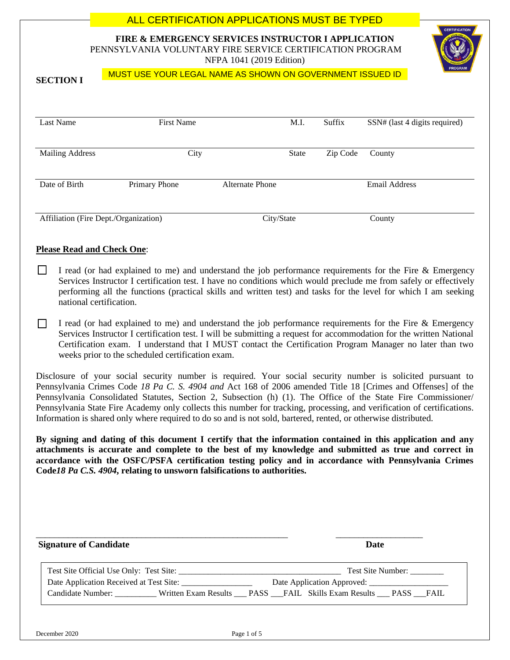# **FIRE & EMERGENCY SERVICES INSTRUCTOR I APPLICATION** PENNSYLVANIA VOLUNTARY FIRE SERVICE CERTIFICATION PROGRAM NFPA 1041 (2019 Edition) **SECTION I** Last Name First Name First Name M.I. Suffix SSN# (last 4 digits required) Mailing Address City City State Zip Code County Date of Birth Primary Phone Alternate Phone Email Address Affiliation (Fire Dept./Organization) City/State County ALL CERTIFICATION APPLICATIONS MUST BE TYPED MUST USE YOUR LEGAL NAME AS SHOWN ON GOVERNMENT ISSUED ID

## **Please Read and Check One**:

- $\Box$ I read (or had explained to me) and understand the job performance requirements for the Fire & Emergency Services Instructor I certification test. I have no conditions which would preclude me from safely or effectively performing all the functions (practical skills and written test) and tasks for the level for which I am seeking national certification.
- I read (or had explained to me) and understand the job performance requirements for the Fire & Emergency  $\perp$ Services Instructor I certification test. I will be submitting a request for accommodation for the written National Certification exam. I understand that I MUST contact the Certification Program Manager no later than two weeks prior to the scheduled certification exam.

Disclosure of your social security number is required. Your social security number is solicited pursuant to Pennsylvania Crimes Code *18 Pa C. S. 4904 and* Act 168 of 2006 amended Title 18 [Crimes and Offenses] of the Pennsylvania Consolidated Statutes, Section 2, Subsection (h) (1). The Office of the State Fire Commissioner/ Pennsylvania State Fire Academy only collects this number for tracking, processing, and verification of certifications. Information is shared only where required to do so and is not sold, bartered, rented, or otherwise distributed.

**By signing and dating of this document I certify that the information contained in this application and any attachments is accurate and complete to the best of my knowledge and submitted as true and correct in accordance with the OSFC/PSFA certification testing policy and in accordance with Pennsylvania Crimes Code***18 Pa C.S. 4904***, relating to unsworn falsifications to authorities.**

| <b>Signature of Candidate</b>           | Date                       |
|-----------------------------------------|----------------------------|
| Test Site Official Use Only: Test Site: | Test Site Number:          |
| Date Application Received at Test Site: | Date Application Approved: |
| Candidate Number:                       |                            |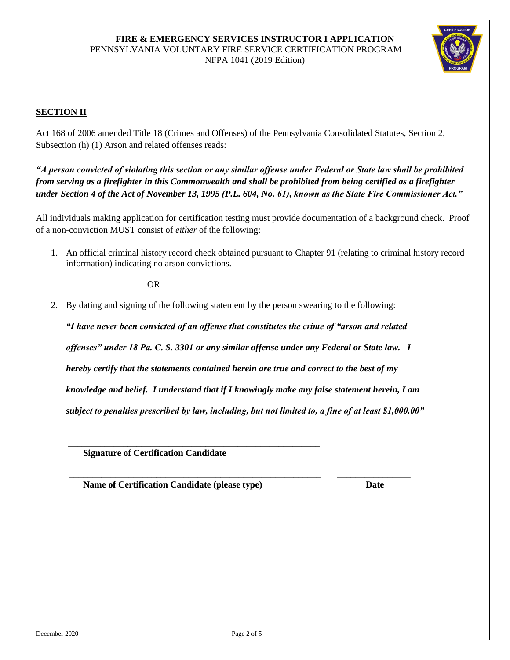

# **SECTION II**

Act 168 of 2006 amended Title 18 (Crimes and Offenses) of the Pennsylvania Consolidated Statutes, Section 2, Subsection (h) (1) Arson and related offenses reads:

*"A person convicted of violating this section or any similar offense under Federal or State law shall be prohibited from serving as a firefighter in this Commonwealth and shall be prohibited from being certified as a firefighter under Section 4 of the Act of November 13, 1995 (P.L. 604, No. 61), known as the State Fire Commissioner Act."*

All individuals making application for certification testing must provide documentation of a background check. Proof of a non-conviction MUST consist of *either* of the following:

1. An official criminal history record check obtained pursuant to Chapter 91 (relating to criminal history record information) indicating no arson convictions.

**OR** OR

2. By dating and signing of the following statement by the person swearing to the following:

*"I have never been convicted of an offense that constitutes the crime of "arson and related offenses" under 18 Pa. C. S. 3301 or any similar offense under any Federal or State law. I hereby certify that the statements contained herein are true and correct to the best of my knowledge and belief. I understand that if I knowingly make any false statement herein, I am subject to penalties prescribed by law, including, but not limited to, a fine of at least \$1,000.00"*

 **\_\_\_\_\_\_\_\_\_\_\_\_\_\_\_\_\_\_\_\_\_\_\_\_\_\_\_\_\_\_\_\_\_\_\_\_\_\_\_\_\_\_\_\_\_\_\_\_\_\_\_\_\_\_\_ \_\_\_\_\_\_\_\_\_\_\_\_\_\_\_\_**

 **Signature of Certification Candidate** 

 **Name of Certification Candidate (please type) Date**

\_\_\_\_\_\_\_\_\_\_\_\_\_\_\_\_\_\_\_\_\_\_\_\_\_\_\_\_\_\_\_\_\_\_\_\_\_\_\_\_\_\_\_\_\_\_\_\_\_\_\_\_\_\_\_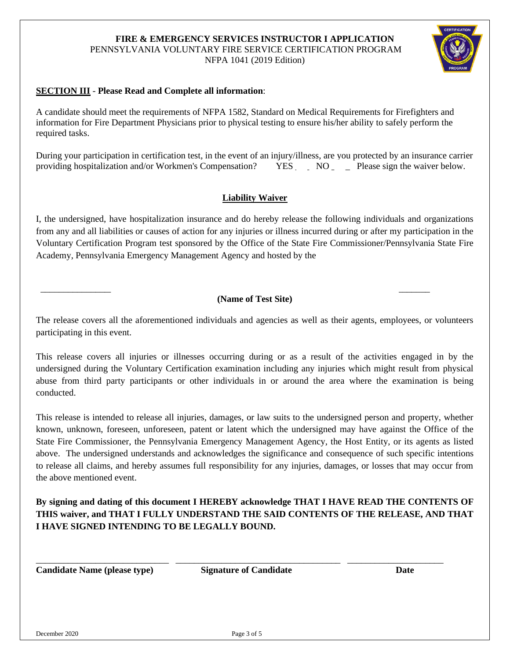## **SECTION III** - **Please Read and Complete all information**:

A candidate should meet the requirements of NFPA 1582, Standard on Medical Requirements for Firefighters and information for Fire Department Physicians prior to physical testing to ensure his/her ability to safely perform the required tasks.

During your participation in certification test, in the event of an injury/illness, are you protected by an insurance carrier providing hospitalization and/or Workmen's Compensation? YES NO Please sign the waiver below.

#### **Liability Waiver**

I, the undersigned, have hospitalization insurance and do hereby release the following individuals and organizations from any and all liabilities or causes of action for any injuries or illness incurred during or after my participation in the Voluntary Certification Program test sponsored by the Office of the State Fire Commissioner/Pennsylvania State Fire Academy, Pennsylvania Emergency Management Agency and hosted by the

#### **(Name of Test Site)**

 $\overline{\phantom{a}}$  , and the contribution of the contribution of the contribution of the contribution of the contribution of the contribution of the contribution of the contribution of the contribution of the contribution of the

The release covers all the aforementioned individuals and agencies as well as their agents, employees, or volunteers participating in this event.

This release covers all injuries or illnesses occurring during or as a result of the activities engaged in by the undersigned during the Voluntary Certification examination including any injuries which might result from physical abuse from third party participants or other individuals in or around the area where the examination is being conducted.

This release is intended to release all injuries, damages, or law suits to the undersigned person and property, whether known, unknown, foreseen, unforeseen, patent or latent which the undersigned may have against the Office of the State Fire Commissioner, the Pennsylvania Emergency Management Agency, the Host Entity, or its agents as listed above. The undersigned understands and acknowledges the significance and consequence of such specific intentions to release all claims, and hereby assumes full responsibility for any injuries, damages, or losses that may occur from the above mentioned event.

**By signing and dating of this document I HEREBY acknowledge THAT I HAVE READ THE CONTENTS OF THIS waiver, and THAT I FULLY UNDERSTAND THE SAID CONTENTS OF THE RELEASE, AND THAT I HAVE SIGNED INTENDING TO BE LEGALLY BOUND.**

**Candidate Name (please type) Signature of Candidate Date**

\_\_\_\_\_\_\_\_\_\_\_\_\_\_\_\_\_\_\_\_\_\_\_\_\_\_\_\_\_ \_\_\_\_\_\_\_\_\_\_\_\_\_\_\_\_\_\_\_\_\_\_\_\_\_\_\_\_\_\_\_\_\_\_\_\_ \_\_\_\_\_\_\_\_\_\_\_\_\_\_\_\_\_\_\_\_\_

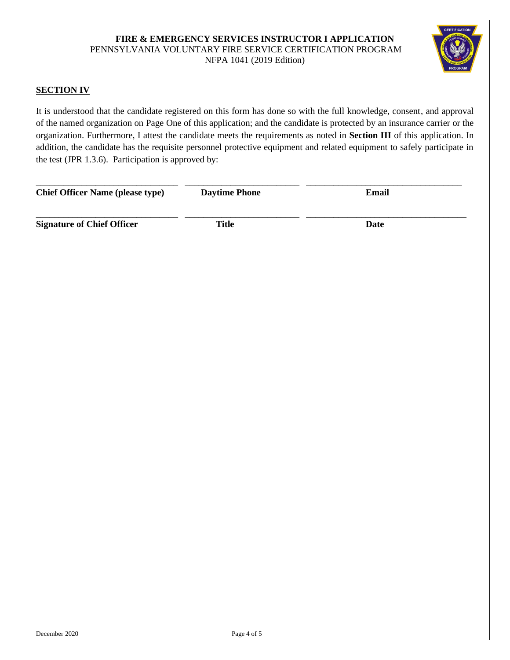

## **SECTION IV**

It is understood that the candidate registered on this form has done so with the full knowledge, consent, and approval of the named organization on Page One of this application; and the candidate is protected by an insurance carrier or the organization. Furthermore, I attest the candidate meets the requirements as noted in **Section III** of this application. In addition, the candidate has the requisite personnel protective equipment and related equipment to safely participate in the test (JPR 1.3.6). Participation is approved by:

| <b>Chief Officer Name (please type)</b> | <b>Daytime Phone</b> | Email |  |
|-----------------------------------------|----------------------|-------|--|
| <b>Signature of Chief Officer</b>       | Title                | Date  |  |